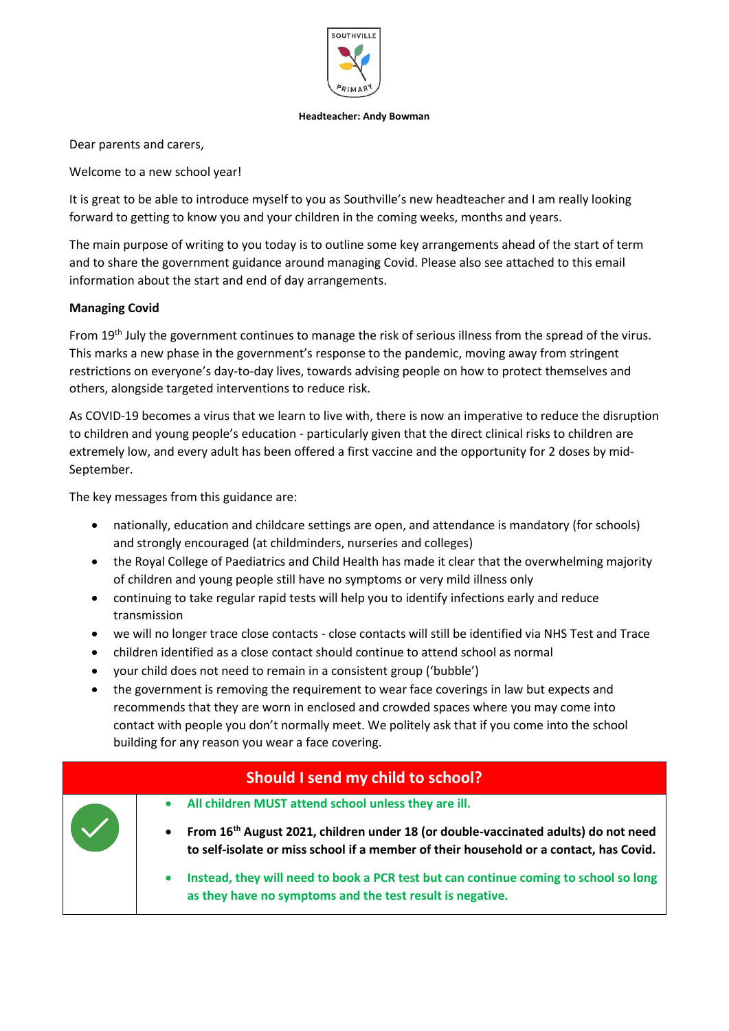

#### **Headteacher: Andy Bowman**

Dear parents and carers,

Welcome to a new school year!

It is great to be able to introduce myself to you as Southville's new headteacher and I am really looking forward to getting to know you and your children in the coming weeks, months and years.

The main purpose of writing to you today is to outline some key arrangements ahead of the start of term and to share the government guidance around managing Covid. Please also see attached to this email information about the start and end of day arrangements.

## **Managing Covid**

From 19<sup>th</sup> July the government continues to manage the risk of serious illness from the spread of the virus. This marks a new phase in the government's response to the pandemic, moving away from stringent restrictions on everyone's day-to-day lives, towards advising people on how to protect themselves and others, alongside targeted interventions to reduce risk.

As COVID-19 becomes a virus that we learn to live with, there is now an imperative to reduce the disruption to children and young people's education - particularly given that the direct clinical risks to children are extremely low, and every adult has been offered a first vaccine and the opportunity for 2 doses by mid-September.

The key messages from this guidance are:

- nationally, education and childcare settings are open, and attendance is mandatory (for schools) and strongly encouraged (at childminders, nurseries and colleges)
- the Royal College of Paediatrics and Child Health has made it clear that the overwhelming majority of children and young people still have no symptoms or very mild illness only
- continuing to take regular rapid tests will help you to identify infections early and reduce transmission
- we will no longer trace close contacts close contacts will still be identified via NHS Test and Trace
- children identified as a close contact should continue to attend school as normal
- your child does not need to remain in a consistent group ('bubble')
- the government is removing the requirement to wear face coverings in law but expects and recommends that they are worn in enclosed and crowded spaces where you may come into contact with people you don't normally meet. We politely ask that if you come into the school building for any reason you wear a face covering.

|  | Should I send my child to school?                                                                                                                                                                     |
|--|-------------------------------------------------------------------------------------------------------------------------------------------------------------------------------------------------------|
|  | • All children MUST attend school unless they are ill.                                                                                                                                                |
|  | From 16 <sup>th</sup> August 2021, children under 18 (or double-vaccinated adults) do not need<br>$\bullet$<br>to self-isolate or miss school if a member of their household or a contact, has Covid. |
|  | Instead, they will need to book a PCR test but can continue coming to school so long<br>as they have no symptoms and the test result is negative.                                                     |